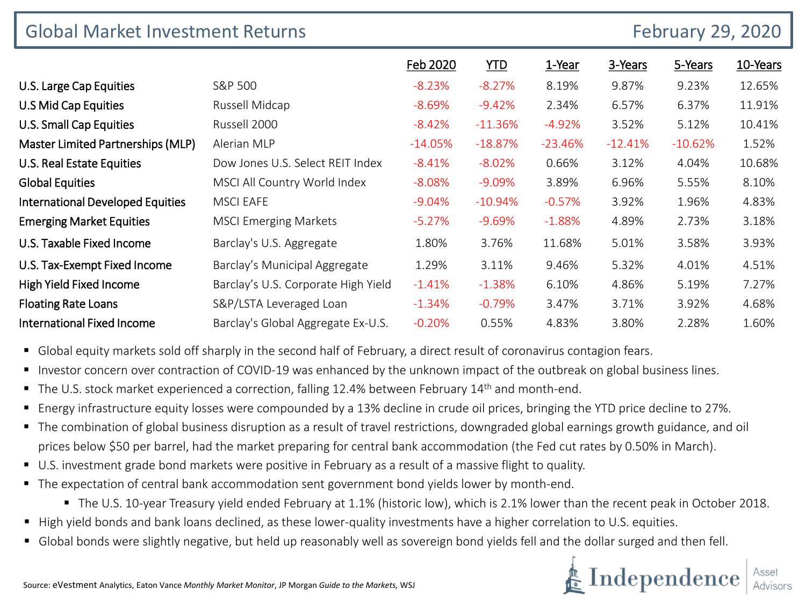| <b>Global Market Investment Returns</b> |                                     |           | <b>February 29, 2020</b> |           |           |           |          |
|-----------------------------------------|-------------------------------------|-----------|--------------------------|-----------|-----------|-----------|----------|
|                                         |                                     | Feb 2020  | <b>YTD</b>               | 1-Year    | 3-Years   | 5-Years   | 10-Years |
| U.S. Large Cap Equities                 | S&P 500                             | $-8.23%$  | $-8.27%$                 | 8.19%     | 9.87%     | 9.23%     | 12.65%   |
| U.S Mid Cap Equities                    | Russell Midcap                      | $-8.69%$  | $-9.42%$                 | 2.34%     | 6.57%     | 6.37%     | 11.91%   |
| U.S. Small Cap Equities                 | Russell 2000                        | $-8.42%$  | $-11.36%$                | $-4.92%$  | 3.52%     | 5.12%     | 10.41%   |
| Master Limited Partnerships (MLP)       | Alerian MLP                         | $-14.05%$ | $-18.87%$                | $-23.46%$ | $-12.41%$ | $-10.62%$ | 1.52%    |
| U.S. Real Estate Equities               | Dow Jones U.S. Select REIT Index    | $-8.41%$  | $-8.02%$                 | 0.66%     | 3.12%     | 4.04%     | 10.68%   |
| <b>Global Equities</b>                  | MSCI All Country World Index        | $-8.08%$  | $-9.09%$                 | 3.89%     | 6.96%     | 5.55%     | 8.10%    |
| <b>International Developed Equities</b> | <b>MSCI EAFE</b>                    | $-9.04%$  | $-10.94%$                | $-0.57%$  | 3.92%     | 1.96%     | 4.83%    |
| <b>Emerging Market Equities</b>         | <b>MSCI Emerging Markets</b>        | $-5.27%$  | $-9.69%$                 | $-1.88%$  | 4.89%     | 2.73%     | 3.18%    |
| U.S. Taxable Fixed Income               | Barclay's U.S. Aggregate            | 1.80%     | 3.76%                    | 11.68%    | 5.01%     | 3.58%     | 3.93%    |
| U.S. Tax-Exempt Fixed Income            | Barclay's Municipal Aggregate       | 1.29%     | 3.11%                    | 9.46%     | 5.32%     | 4.01%     | 4.51%    |
| High Yield Fixed Income                 | Barclay's U.S. Corporate High Yield | $-1.41%$  | $-1.38%$                 | 6.10%     | 4.86%     | 5.19%     | 7.27%    |
| <b>Floating Rate Loans</b>              | S&P/LSTA Leveraged Loan             | $-1.34%$  | $-0.79%$                 | 3.47%     | 3.71%     | 3.92%     | 4.68%    |
| <b>International Fixed Income</b>       | Barclay's Global Aggregate Ex-U.S.  | $-0.20%$  | 0.55%                    | 4.83%     | 3.80%     | 2.28%     | 1.60%    |

- **G** Global equity markets sold off sharply in the second half of February, a direct result of coronavirus contagion fears.
- Investor concern over contraction of COVID-19 was enhanced by the unknown impact of the outbreak on global business lines.
- The U.S. stock market experienced a correction, falling 12.4% between February 14<sup>th</sup> and month-end.
- Energy infrastructure equity losses were compounded by a 13% decline in crude oil prices, bringing the YTD price decline to 27%.
- The combination of global business disruption as a result of travel restrictions, downgraded global earnings growth guidance, and oil prices below \$50 per barrel, had the market preparing for central bank accommodation (the Fed cut rates by 0.50% in March).
- U.S. investment grade bond markets were positive in February as a result of a massive flight to quality.
- The expectation of central bank accommodation sent government bond yields lower by month-end.
	- The U.S. 10-year Treasury yield ended February at 1.1% (historic low), which is 2.1% lower than the recent peak in October 2018.
- High yield bonds and bank loans declined, as these lower-quality investments have a higher correlation to U.S. equities.
- Global bonds were slightly negative, but held up reasonably well as sovereign bond yields fell and the dollar surged and then fell.

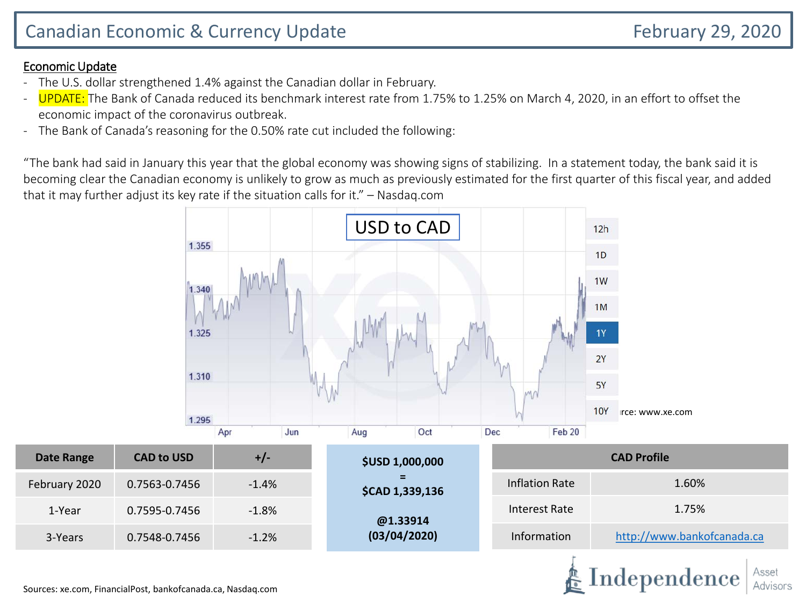## Economic Update

- The U.S. dollar strengthened 1.4% against the Canadian dollar in February.
- UPDATE: The Bank of Canada reduced its benchmark interest rate from 1.75% to 1.25% on March 4, 2020, in an effort to offset the economic impact of the coronavirus outbreak.
- The Bank of Canada's reasoning for the 0.50% rate cut included the following:

"The bank had said in January this year that the global economy was showing signs of stabilizing. In a statement today, the bank said it is becoming clear the Canadian economy is unlikely to grow as much as previously estimated for the first quarter of this fiscal year, and added that it may further adjust its key rate if the situation calls for it." – Nasdaq.com